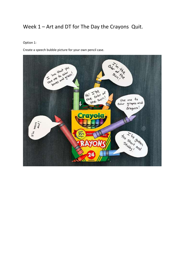# Week 1 – Art and DT for The Day the Crayons Quit.

#### Option 1:

Create a speech bubble picture for your own pencil case.

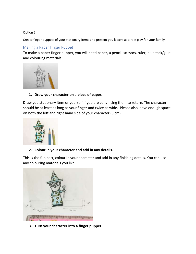#### Option 2:

Create finger puppets of your stationary items and present you letters as a role play for your family.

## Making a Paper Finger Puppet

To make a paper finger puppet, you will need paper, a pencil, scissors, ruler, blue tack/glue and colouring materials.



### **1. Draw your character on a piece of paper.**

Draw you stationary item or yourself if you are convincing them to return. The character should be at least as long as your finger and twice as wide. Please also leave enough space on both the left and right hand side of your character (3 cm).



# **2. Colour in your character and add in any details.**

This is the fun part, colour in your character and add in any finishing details. You can use any colouring materials you like.



**3. Turn your character into a finger puppet.**